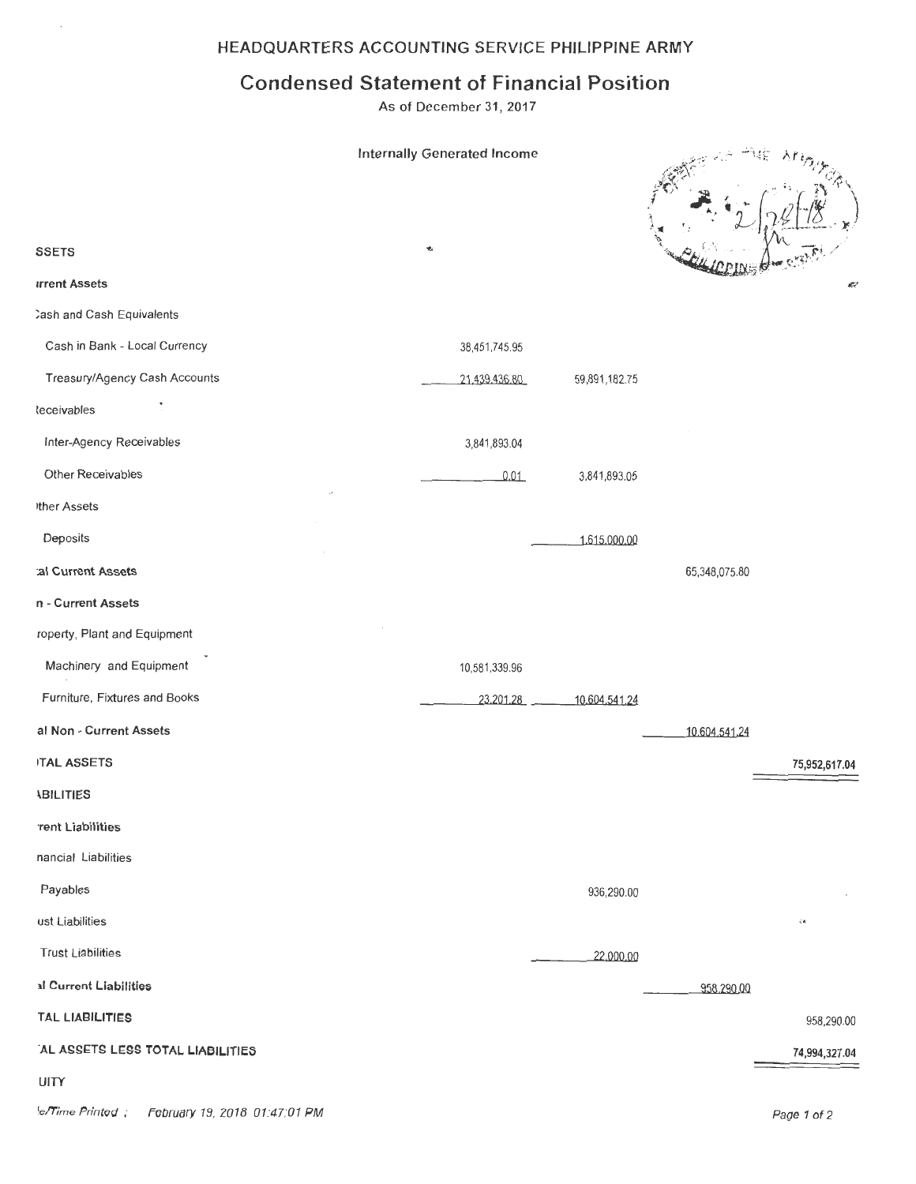## **Condensed Statement of Financial Position**

As of December 31, 2017

**Internally Generated Income** *<u>urrent</u>* Assets Cash and Cash Equivalents Cash in Bank - Local Currency 38,451,745.95 Treasury/Agency Cash Accounts 21,439,436.80 59,891,182.75 **Receivables** Inter-Agency Receivables 3,841,893.04 Other Receivables 3.841.893.05  $0.01$ **ther Assets** Deposits 1,615,000.00 al Current Assets 65,348,075.80 n - Current Assets roperty, Plant and Equipment Machinery and Equipment 10,581,339.96 Furniture, Fixtures and Books 23.201.28 10.604.541.24 al Non - Current Assets 10.604.541.24 **ITAL ASSETS** 75,952,617.04 **IBILITIES** rent Liabilities nancial Liabilities

936.290.00 ust Liabilities .<br>A **Trust Liabilities** 22,000.00 al Current Liabilities 958.290.00 **TAL LIABILITIES** 958,290.00 AL ASSETS LESS TOTAL LIABILITIES 74,994,327.04

UITY

Payables

**SSETS** 

Æ?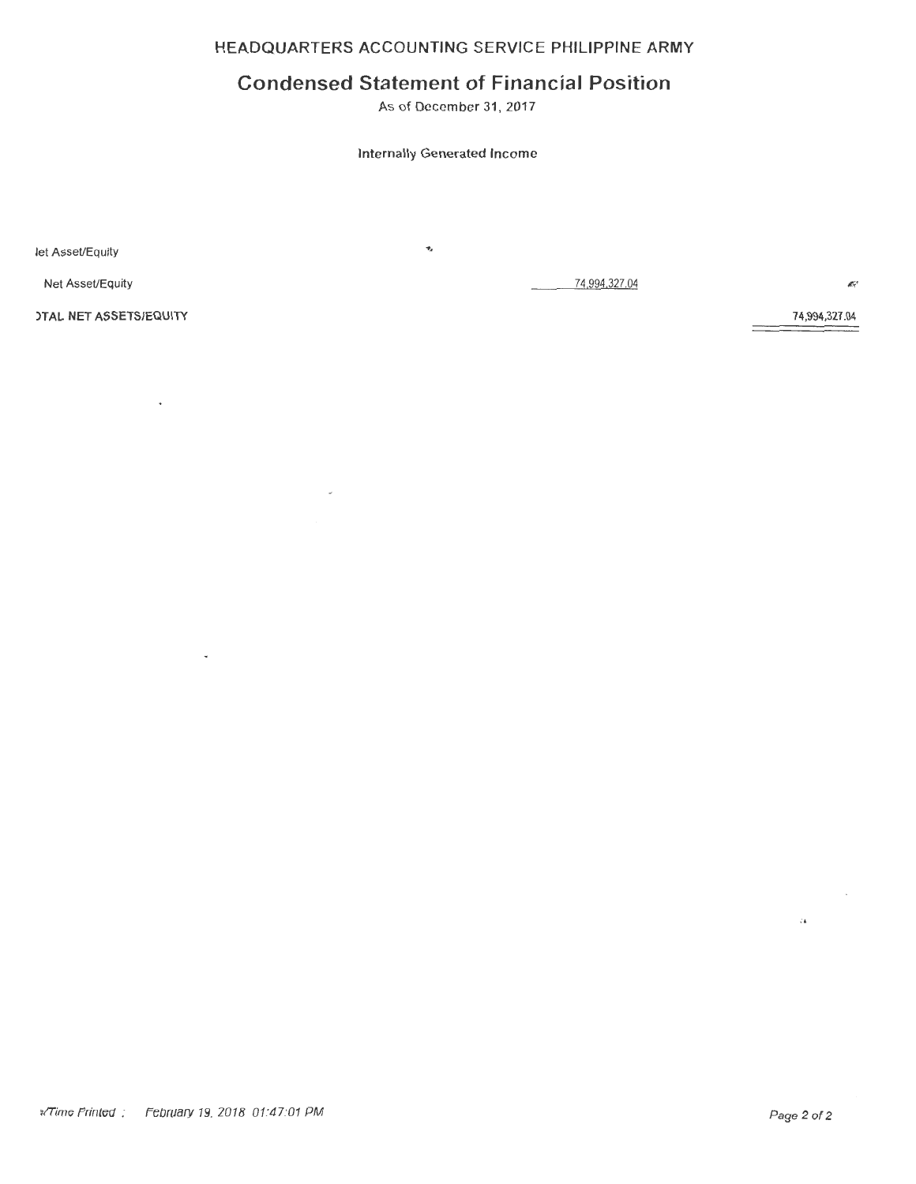**HEADQUARTERS ACCOUNTING SERVICE PHILIPPINE ARMY** 

### **Condensed Statement of Financial Position**

As of December 31, 2017

Internally Generated Income

let Asset/Equity

Net Asset/Equity

 $\vec{\tau}_s$ 

 $\overline{a}$ 

74 994 327.04

 $\mathbb{Z}^*$ 

**>TAL NET** ASSETS/EQUITY

 $\ddot{\phantom{0}}$ 

 $\bar{\phantom{a}}$ 

74,994,327.04

 $\lambda$  ,

 $\bar{z}$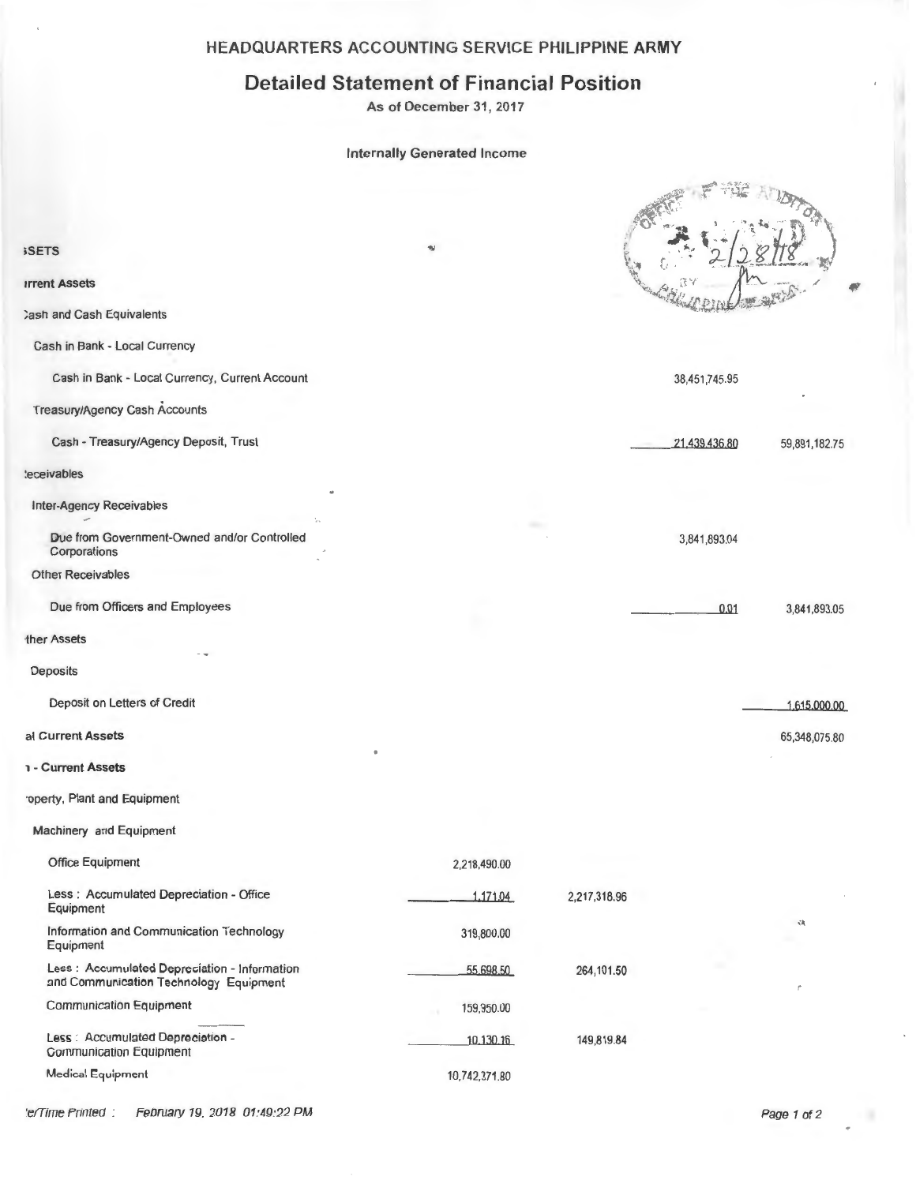### **HEADQUARTERS ACCOUNTING SERVICE PHILIPPINE ARMY**

### **Detailed Statement of Financial Position**

As of December 31, 2017

#### Internally Generated Income

| <b>SETS</b>                                                                             |               |              |               |               |
|-----------------------------------------------------------------------------------------|---------------|--------------|---------------|---------------|
|                                                                                         |               |              |               |               |
| <b>Irrent Assets</b>                                                                    |               |              |               |               |
| Cash and Cash Equivalents                                                               |               |              |               |               |
| Cash in Bank - Local Currency                                                           |               |              |               |               |
| Cash in Bank - Local Currency, Current Account                                          |               |              | 38,451,745.95 |               |
| Treasury/Agency Cash Accounts                                                           |               |              |               |               |
| Cash - Treasury/Agency Deposit, Trust                                                   |               |              | 21,439,436.80 | 59,891,182.75 |
| teceivables                                                                             |               |              |               |               |
| <b>Inter-Agency Receivables</b>                                                         |               |              |               |               |
| Due from Government-Owned and/or Controlled<br>Corporations                             |               |              | 3,841,893.04  |               |
| <b>Other Receivables</b>                                                                |               |              |               |               |
| Due from Officers and Employees                                                         |               |              | 0.01          | 3,841,893.05  |
| ther Assets                                                                             |               |              |               |               |
| Deposits                                                                                |               |              |               |               |
| Deposit on Letters of Credit                                                            |               |              |               | 1,615,000.00  |
| al Current Assets                                                                       |               |              |               | 65,348,075.80 |
| 1 - Current Assets                                                                      |               |              |               |               |
| operty, Plant and Equipment                                                             |               |              |               |               |
| Machinery and Equipment                                                                 |               |              |               |               |
| Office Equipment                                                                        | 2,218,490.00  |              |               |               |
| Less: Accumulated Depreciation - Office<br>Equipment                                    | 1,171.04      | 2,217,318.96 |               |               |
| Information and Communication Technology<br>Equipment                                   | 319,800.00    |              |               | śА            |
| Less : Accumulated Depreciation - Information<br>and Communication Technology Equipment | 55,698.50     | 264,101.50   |               | r             |
| <b>Communication Equipment</b>                                                          | 159,950.00    |              |               |               |
| Less : Accumulated Depreciation -<br><b>Communication Equipment</b>                     | 10.130.16     | 149,819.84   |               |               |
| <b>Medical Equipment</b>                                                                | 10,742,371.80 |              |               |               |

'e/Time Printed : February 19, 2018 01:49:22 PM

**BE SARA INTE**